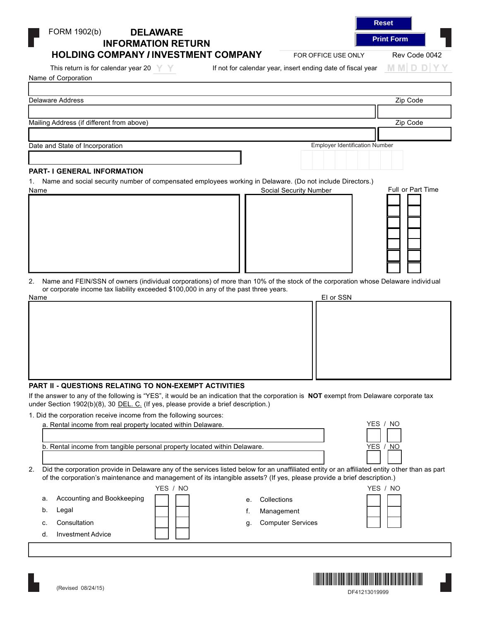| This return is for calendar year 20 $\mathbb{Y}$                                                                                         | If not for calendar year, insert ending date of fiscal year | MMDDYY            |
|------------------------------------------------------------------------------------------------------------------------------------------|-------------------------------------------------------------|-------------------|
| Name of Corporation                                                                                                                      |                                                             |                   |
|                                                                                                                                          |                                                             |                   |
| Delaware Address                                                                                                                         |                                                             | Zip Code          |
|                                                                                                                                          |                                                             |                   |
| Mailing Address (if different from above)                                                                                                |                                                             | Zip Code          |
|                                                                                                                                          |                                                             |                   |
| Date and State of Incorporation                                                                                                          | <b>Employer Identification Number</b>                       |                   |
|                                                                                                                                          |                                                             |                   |
|                                                                                                                                          |                                                             |                   |
| <b>PART- I GENERAL INFORMATION</b>                                                                                                       |                                                             |                   |
| Name and social security number of compensated employees working in Delaware. (Do not include Directors.)<br>1.                          |                                                             |                   |
| Name                                                                                                                                     | <b>Social Security Number</b>                               | Full or Part Time |
|                                                                                                                                          |                                                             |                   |
|                                                                                                                                          |                                                             |                   |
|                                                                                                                                          |                                                             |                   |
|                                                                                                                                          |                                                             |                   |
|                                                                                                                                          |                                                             |                   |
|                                                                                                                                          |                                                             |                   |
|                                                                                                                                          |                                                             |                   |
|                                                                                                                                          |                                                             |                   |
|                                                                                                                                          |                                                             |                   |
|                                                                                                                                          |                                                             |                   |
| Name and FEIN/SSN of owners (individual corporations) of more than 10% of the stock of the corporation whose Delaware individual<br>2.   |                                                             |                   |
| or corporate income tax liability exceeded \$100,000 in any of the past three years.                                                     |                                                             |                   |
|                                                                                                                                          | El or SSN                                                   |                   |
| Name                                                                                                                                     |                                                             |                   |
|                                                                                                                                          |                                                             |                   |
|                                                                                                                                          |                                                             |                   |
|                                                                                                                                          |                                                             |                   |
|                                                                                                                                          |                                                             |                   |
|                                                                                                                                          |                                                             |                   |
|                                                                                                                                          |                                                             |                   |
|                                                                                                                                          |                                                             |                   |
|                                                                                                                                          |                                                             |                   |
|                                                                                                                                          |                                                             |                   |
|                                                                                                                                          |                                                             |                   |
| <b>PART II - QUESTIONS RELATING TO NON-EXEMPT ACTIVITIES</b>                                                                             |                                                             |                   |
| If the answer to any of the following is "YES", it would be an indication that the corporation is NOT exempt from Delaware corporate tax |                                                             |                   |
| under Section 1902(b)(8), 30 DEL. C. (If yes, please provide a brief description.)                                                       |                                                             |                   |
| 1. Did the corporation receive income from the following sources:                                                                        |                                                             |                   |
| a. Rental income from real property located within Delaware.                                                                             |                                                             | YES / NO          |
|                                                                                                                                          |                                                             |                   |
|                                                                                                                                          |                                                             |                   |
| b. Rental income from tangible personal property located within Delaware.                                                                |                                                             | YES / NO          |
|                                                                                                                                          |                                                             |                   |
|                                                                                                                                          |                                                             |                   |

2. Did the corporation provide in Delaware any of the services listed below for an unaffiliated entity or an affiliated entity other than as part of the corporation's maintenance and management of its intangible assets? (If yes, please provide a brief description.)

|    |                            | YES / NO |                                | YES / NO |
|----|----------------------------|----------|--------------------------------|----------|
| а. | Accounting and Bookkeeping |          | Collections<br>е.              |          |
| b. | Legal                      |          | Management                     |          |
| c. | Consultation               |          | <b>Computer Services</b><br>q. |          |
|    | <b>Investment Advice</b>   |          |                                |          |

FORM 1902(b) **DELAWARE INFORMATION RETURN**

**HOLDING COMPANY** *I* **INVESTMENT COMPANY**

FOR OFFICE USE ONLY Rev Code 0042

| Reset             |  |
|-------------------|--|
| <b>Print Form</b> |  |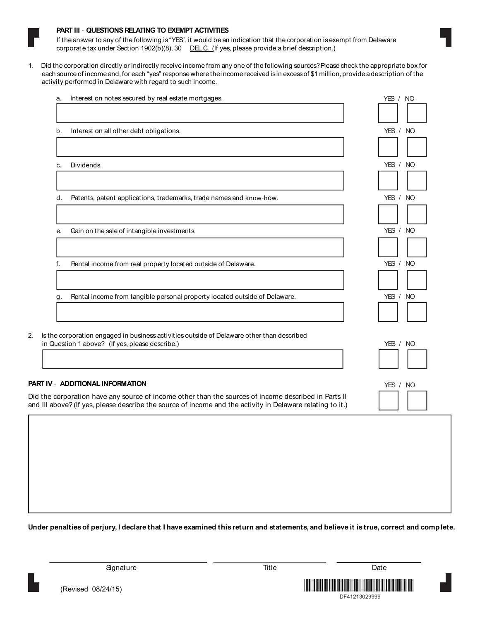

#### **PART III - QUESTIONS RELATING TO EXEMPT ACTIVITIES**

If the answer to any of the following is "YES", it would be an indication that the corporation is exempt from Delaware corporat e tax under Section 1902(b)(8), 30 <u>DEL C. (</u>If yes, please provide a brief description.)

1. Did the corporation directly or indirectly receive income from any one of the following sources?Please check the appropriate box for each source of income and, for each "yes" response where the income received isin excessof \$1 million, provide adescription of the activity performed in Delaware with regard to such income.

| a. | Interest on notes secured by real estate mortgages.                                        | YES / NO |
|----|--------------------------------------------------------------------------------------------|----------|
|    |                                                                                            |          |
| b. | Interest on all other debt obligations.                                                    | YES / NO |
|    |                                                                                            |          |
| C. | Dividends.                                                                                 | YES / NO |
|    |                                                                                            | YES / NO |
| d. | Patents, patent applications, trademarks, trade names and know-how.                        |          |
| е. | Gain on the sale of intangible investments.                                                | YES / NO |
| f. | Rental income from real property located outside of Delaware.                              | YES / NO |
|    |                                                                                            |          |
| g  | Rental income from tangible personal property located outside of Delaware.                 | YES / NO |
|    | Is the corporation engaged in business activities outside of Delaware other than described |          |
|    | in Question 1 above? (If yes, please describe.)                                            | YES / NO |
|    | PART IV - ADDITIONAL INFORMATION                                                           | YES / NO |

#### **PART IV - ADDITIONAL INFORMATION**

Did the corporation have any source of income other than the sources of income described in Parts II and III above? (If yes, please describe the source of income and the activity in Delaware relating to it.)

**Under penalties of perjury, I declare that I have examined this return and statements, and believe it is true, correct and complete.**



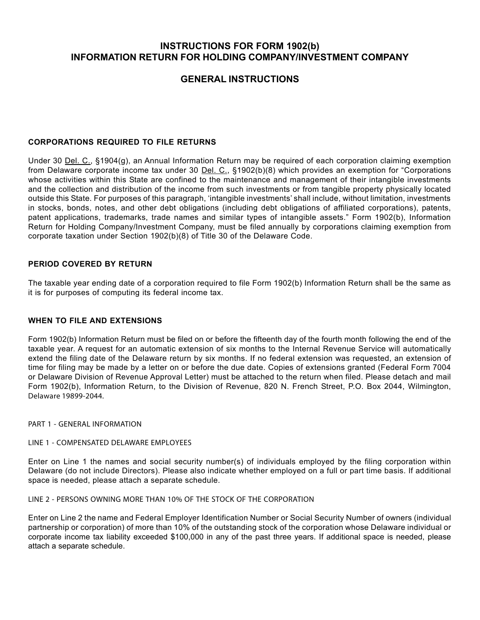## **INSTRUCTIONS FOR FORM 1902(b) INFORMATION RETURN FOR HOLDING COMPANY/INVESTMENT COMPANY**

# **GENERAL INSTRUCTIONS**

### **CORPORATIONS REQUIRED TO FILE RETURNS**

Under 30 Del. C., §1904(g), an Annual Information Return may be required of each corporation claiming exemption from Delaware corporate income tax under 30 Del. C., §1902(b)(8) which provides an exemption for "Corporations whose activities within this State are confined to the maintenance and management of their intangible investments and the collection and distribution of the income from such investments or from tangible property physically located outside this State. For purposes of this paragraph, 'intangible investments' shall include, without limitation, investments in stocks, bonds, notes, and other debt obligations (including debt obligations of affiliated corporations), patents, patent applications, trademarks, trade names and similar types of intangible assets." Form 1902(b), Information Return for Holding Company/Investment Company, must be filed annually by corporations claiming exemption from corporate taxation under Section 1902(b)(8) of Title 30 of the Delaware Code.

#### **PERIOD COVERED BY RETURN**

The taxable year ending date of a corporation required to file Form 1902(b) Information Return shall be the same as it is for purposes of computing its federal income tax.

## **WHEN TO FILE AND EXTENSIONS**

Form 1902(b) Information Return must be filed on or before the fifteenth day of the fourth month following the end of the taxable year. A request for an automatic extension of six months to the Internal Revenue Service will automatically extend the filing date of the Delaware return by six months. If no federal extension was requested, an extension of time for filing may be made by a letter on or before the due date. Copies of extensions granted (Federal Form 7004 or Delaware Division of Revenue Approval Letter) must be attached to the return when filed. Please detach and mail Form 1902(b), Information Return, to the Division of Revenue, 820 N. French Street, P.O. Box 2044, Wilmington, Delaware 19899-2044.

**PART 1 - GENERAL INFORMATION**

#### **LINE 1 - COMPENSATED DELAWARE EMPLOYEES**

Enter on Line 1 the names and social security number(s) of individuals employed by the filing corporation within Delaware (do not include Directors). Please also indicate whether employed on a full or part time basis. If additional space is needed, please attach a separate schedule.

## **LINE 2 - PERSONS OWNING MORE THAN 10% OF THE STOCK OF THE CORPORATION**

Enter on Line 2 the name and Federal Employer Identification Number or Social Security Number of owners (individual partnership or corporation) of more than 10% of the outstanding stock of the corporation whose Delaware individual or corporate income tax liability exceeded \$100,000 in any of the past three years. If additional space is needed, please attach a separate schedule.